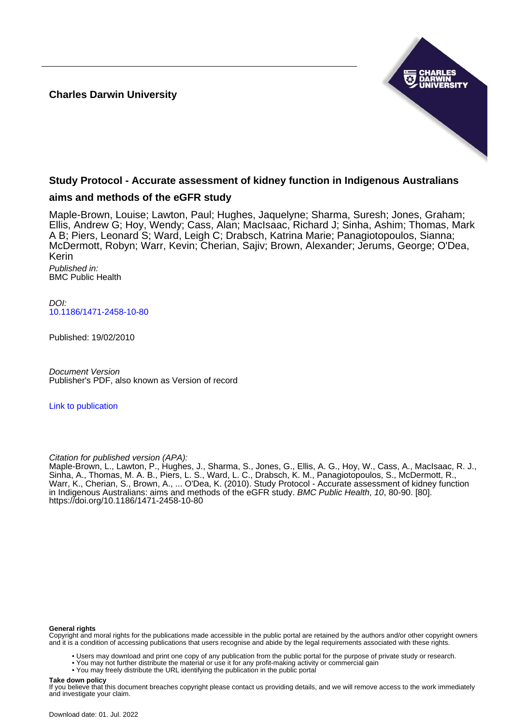**Charles Darwin University**



# **Study Protocol - Accurate assessment of kidney function in Indigenous Australians**

# **aims and methods of the eGFR study**

Maple-Brown, Louise; Lawton, Paul; Hughes, Jaquelyne; Sharma, Suresh; Jones, Graham; Ellis, Andrew G; Hoy, Wendy; Cass, Alan; MacIsaac, Richard J; Sinha, Ashim; Thomas, Mark A B; Piers, Leonard S; Ward, Leigh C; Drabsch, Katrina Marie; Panagiotopoulos, Sianna; McDermott, Robyn; Warr, Kevin; Cherian, Sajiv; Brown, Alexander; Jerums, George; O'Dea, Kerin Published in:

BMC Public Health

DOI: [10.1186/1471-2458-10-80](https://doi.org/10.1186/1471-2458-10-80)

Published: 19/02/2010

Document Version Publisher's PDF, also known as Version of record

[Link to publication](https://researchers.cdu.edu.au/en/publications/c8cd4dbb-114a-41ca-a20c-2a62f4b40cad)

Citation for published version (APA):

Maple-Brown, L., Lawton, P., Hughes, J., Sharma, S., Jones, G., Ellis, A. G., Hoy, W., Cass, A., MacIsaac, R. J., Sinha, A., Thomas, M. A. B., Piers, L. S., Ward, L. C., Drabsch, K. M., Panagiotopoulos, S., McDermott, R., Warr, K., Cherian, S., Brown, A., ... O'Dea, K. (2010). Study Protocol - Accurate assessment of kidney function in Indigenous Australians: aims and methods of the eGFR study. BMC Public Health, 10, 80-90. [80]. <https://doi.org/10.1186/1471-2458-10-80>

#### **General rights**

Copyright and moral rights for the publications made accessible in the public portal are retained by the authors and/or other copyright owners and it is a condition of accessing publications that users recognise and abide by the legal requirements associated with these rights.

• Users may download and print one copy of any publication from the public portal for the purpose of private study or research.

- You may not further distribute the material or use it for any profit-making activity or commercial gain
	- You may freely distribute the URL identifying the publication in the public portal

#### **Take down policy**

If you believe that this document breaches copyright please contact us providing details, and we will remove access to the work immediately and investigate your claim.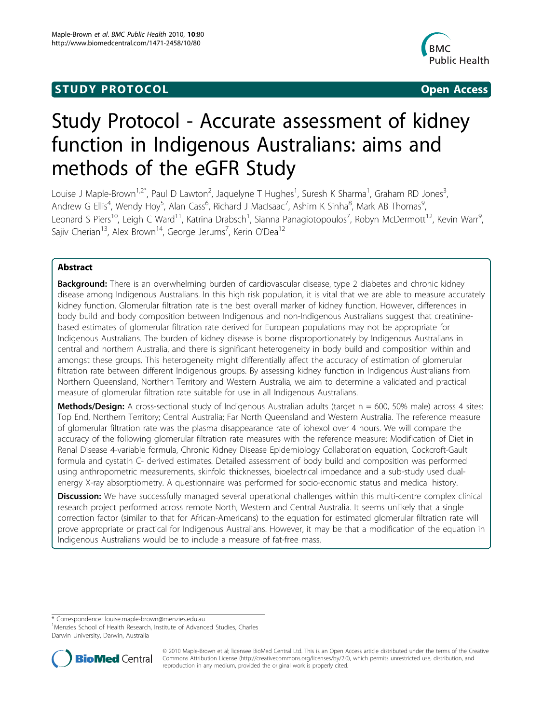# **STUDY PROTOCOL** And the state of the state of the state of the state of the state of the state of the state of the state of the state of the state of the state of the state of the state of the state of the state of the st



# Study Protocol - Accurate assessment of kidney function in Indigenous Australians: aims and methods of the eGFR Study

Louise J Maple-Brown<sup>1,2\*</sup>, Paul D Lawton<sup>2</sup>, Jaquelyne T Hughes<sup>1</sup>, Suresh K Sharma<sup>1</sup>, Graham RD Jones<sup>3</sup> , Andrew G Ellis<sup>4</sup>, Wendy Hoy<sup>5</sup>, Alan Cass<sup>6</sup>, Richard J MacIsaac<sup>7</sup>, Ashim K Sinha<sup>8</sup>, Mark AB Thomas<sup>9</sup> , Leonard S Piers<sup>10</sup>, Leigh C Ward<sup>11</sup>, Katrina Drabsch<sup>1</sup>, Sianna Panagiotopoulos<sup>7</sup>, Robyn McDermott<sup>12</sup>, Kevin Warr<sup>s</sup> , Sajiv Cherian<sup>13</sup>, Alex Brown<sup>14</sup>, George Jerums<sup>7</sup>, Kerin O'Dea<sup>12</sup>

## Abstract

**Background:** There is an overwhelming burden of cardiovascular disease, type 2 diabetes and chronic kidney disease among Indigenous Australians. In this high risk population, it is vital that we are able to measure accurately kidney function. Glomerular filtration rate is the best overall marker of kidney function. However, differences in body build and body composition between Indigenous and non-Indigenous Australians suggest that creatininebased estimates of glomerular filtration rate derived for European populations may not be appropriate for Indigenous Australians. The burden of kidney disease is borne disproportionately by Indigenous Australians in central and northern Australia, and there is significant heterogeneity in body build and composition within and amongst these groups. This heterogeneity might differentially affect the accuracy of estimation of glomerular filtration rate between different Indigenous groups. By assessing kidney function in Indigenous Australians from Northern Queensland, Northern Territory and Western Australia, we aim to determine a validated and practical measure of glomerular filtration rate suitable for use in all Indigenous Australians.

Methods/Design: A cross-sectional study of Indigenous Australian adults (target  $n = 600$ , 50% male) across 4 sites: Top End, Northern Territory; Central Australia; Far North Queensland and Western Australia. The reference measure of glomerular filtration rate was the plasma disappearance rate of iohexol over 4 hours. We will compare the accuracy of the following glomerular filtration rate measures with the reference measure: Modification of Diet in Renal Disease 4-variable formula, Chronic Kidney Disease Epidemiology Collaboration equation, Cockcroft-Gault formula and cystatin C- derived estimates. Detailed assessment of body build and composition was performed using anthropometric measurements, skinfold thicknesses, bioelectrical impedance and a sub-study used dualenergy X-ray absorptiometry. A questionnaire was performed for socio-economic status and medical history.

Discussion: We have successfully managed several operational challenges within this multi-centre complex clinical research project performed across remote North, Western and Central Australia. It seems unlikely that a single correction factor (similar to that for African-Americans) to the equation for estimated glomerular filtration rate will prove appropriate or practical for Indigenous Australians. However, it may be that a modification of the equation in Indigenous Australians would be to include a measure of fat-free mass.

\* Correspondence: [louise.maple-brown@menzies.edu.au](mailto:louise.maple-brown@menzies.edu.au)

<sup>&</sup>lt;sup>1</sup>Menzies School of Health Research, Institute of Advanced Studies, Charles Darwin University, Darwin, Australia



© 2010 Maple-Brown et al; licensee BioMed Central Ltd. This is an Open Access article distributed under the terms of the Creative Commons Attribution License [\(http://creativecommons.org/licenses/by/2.0](http://creativecommons.org/licenses/by/2.0)), which permits unrestricted use, distribution, and reproduction in any medium, provided the original work is properly cited.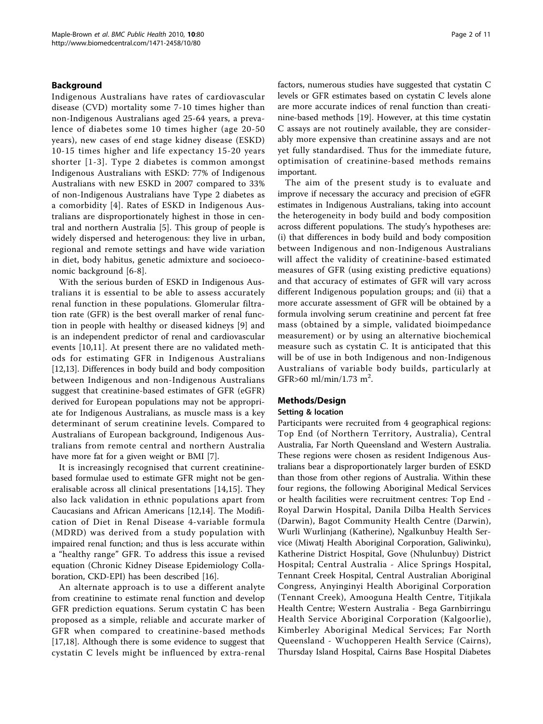#### Background

Indigenous Australians have rates of cardiovascular disease (CVD) mortality some 7-10 times higher than non-Indigenous Australians aged 25-64 years, a prevalence of diabetes some 10 times higher (age 20-50 years), new cases of end stage kidney disease (ESKD) 10-15 times higher and life expectancy 15-20 years shorter [[1](#page-10-0)-[3\]](#page-10-0). Type 2 diabetes is common amongst Indigenous Australians with ESKD: 77% of Indigenous Australians with new ESKD in 2007 compared to 33% of non-Indigenous Australians have Type 2 diabetes as a comorbidity [\[4](#page-10-0)]. Rates of ESKD in Indigenous Australians are disproportionately highest in those in central and northern Australia [[5\]](#page-10-0). This group of people is widely dispersed and heterogenous: they live in urban, regional and remote settings and have wide variation in diet, body habitus, genetic admixture and socioeconomic background [[6-8](#page-10-0)].

With the serious burden of ESKD in Indigenous Australians it is essential to be able to assess accurately renal function in these populations. Glomerular filtration rate (GFR) is the best overall marker of renal function in people with healthy or diseased kidneys [[9\]](#page-10-0) and is an independent predictor of renal and cardiovascular events [[10,11](#page-10-0)]. At present there are no validated methods for estimating GFR in Indigenous Australians [[12,13\]](#page-10-0). Differences in body build and body composition between Indigenous and non-Indigenous Australians suggest that creatinine-based estimates of GFR (eGFR) derived for European populations may not be appropriate for Indigenous Australians, as muscle mass is a key determinant of serum creatinine levels. Compared to Australians of European background, Indigenous Australians from remote central and northern Australia have more fat for a given weight or BMI [\[7](#page-10-0)].

It is increasingly recognised that current creatininebased formulae used to estimate GFR might not be generalisable across all clinical presentations [[14,15\]](#page-10-0). They also lack validation in ethnic populations apart from Caucasians and African Americans [[12,14\]](#page-10-0). The Modification of Diet in Renal Disease 4-variable formula (MDRD) was derived from a study population with impaired renal function; and thus is less accurate within a "healthy range" GFR. To address this issue a revised equation (Chronic Kidney Disease Epidemiology Collaboration, CKD-EPI) has been described [[16\]](#page-11-0).

An alternate approach is to use a different analyte from creatinine to estimate renal function and develop GFR prediction equations. Serum cystatin C has been proposed as a simple, reliable and accurate marker of GFR when compared to creatinine-based methods [[17,18\]](#page-11-0). Although there is some evidence to suggest that cystatin C levels might be influenced by extra-renal factors, numerous studies have suggested that cystatin C levels or GFR estimates based on cystatin C levels alone are more accurate indices of renal function than creatinine-based methods [[19\]](#page-11-0). However, at this time cystatin C assays are not routinely available, they are considerably more expensive than creatinine assays and are not yet fully standardised. Thus for the immediate future, optimisation of creatinine-based methods remains important.

The aim of the present study is to evaluate and improve if necessary the accuracy and precision of eGFR estimates in Indigenous Australians, taking into account the heterogeneity in body build and body composition across different populations. The study's hypotheses are: (i) that differences in body build and body composition between Indigenous and non-Indigenous Australians will affect the validity of creatinine-based estimated measures of GFR (using existing predictive equations) and that accuracy of estimates of GFR will vary across different Indigenous population groups; and (ii) that a more accurate assessment of GFR will be obtained by a formula involving serum creatinine and percent fat free mass (obtained by a simple, validated bioimpedance measurement) or by using an alternative biochemical measure such as cystatin C. It is anticipated that this will be of use in both Indigenous and non-Indigenous Australians of variable body builds, particularly at GFR>60 ml/min/1.73 m<sup>2</sup>.

#### Methods/Design

#### Setting & location

Participants were recruited from 4 geographical regions: Top End (of Northern Territory, Australia), Central Australia, Far North Queensland and Western Australia. These regions were chosen as resident Indigenous Australians bear a disproportionately larger burden of ESKD than those from other regions of Australia. Within these four regions, the following Aboriginal Medical Services or health facilities were recruitment centres: Top End - Royal Darwin Hospital, Danila Dilba Health Services (Darwin), Bagot Community Health Centre (Darwin), Wurli Wurlinjang (Katherine), Ngalkunbuy Health Service (Miwatj Health Aboriginal Corporation, Galiwinku), Katherine District Hospital, Gove (Nhulunbuy) District Hospital; Central Australia - Alice Springs Hospital, Tennant Creek Hospital, Central Australian Aboriginal Congress, Anyinginyi Health Aboriginal Corporation (Tennant Creek), Amooguna Health Centre, Titjikala Health Centre; Western Australia - Bega Garnbirringu Health Service Aboriginal Corporation (Kalgoorlie), Kimberley Aboriginal Medical Services; Far North Queensland - Wuchopperen Health Service (Cairns), Thursday Island Hospital, Cairns Base Hospital Diabetes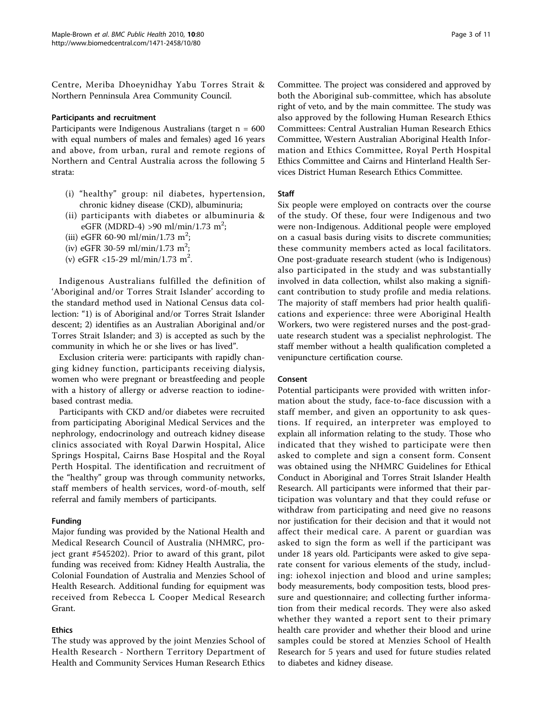Centre, Meriba Dhoeynidhay Yabu Torres Strait & Northern Penninsula Area Community Council.

#### Participants and recruitment

Participants were Indigenous Australians (target n = 600 with equal numbers of males and females) aged 16 years and above, from urban, rural and remote regions of Northern and Central Australia across the following 5 strata:

- (i) "healthy" group: nil diabetes, hypertension, chronic kidney disease (CKD), albuminuria;
- (ii) participants with diabetes or albuminuria & eGFR (MDRD-4) >90 ml/min/1.73 m<sup>2</sup>;
- (iii) eGFR 60-90 ml/min/1.73 m<sup>2</sup>;
- (iv) eGFR 30-59 ml/min/1.73 m<sup>2</sup>;
- (v) eGFR <15-29 ml/min/1.73 m<sup>2</sup>.

Indigenous Australians fulfilled the definition of 'Aboriginal and/or Torres Strait Islander' according to the standard method used in National Census data collection: "1) is of Aboriginal and/or Torres Strait Islander descent; 2) identifies as an Australian Aboriginal and/or Torres Strait Islander; and 3) is accepted as such by the community in which he or she lives or has lived".

Exclusion criteria were: participants with rapidly changing kidney function, participants receiving dialysis, women who were pregnant or breastfeeding and people with a history of allergy or adverse reaction to iodinebased contrast media.

Participants with CKD and/or diabetes were recruited from participating Aboriginal Medical Services and the nephrology, endocrinology and outreach kidney disease clinics associated with Royal Darwin Hospital, Alice Springs Hospital, Cairns Base Hospital and the Royal Perth Hospital. The identification and recruitment of the "healthy" group was through community networks, staff members of health services, word-of-mouth, self referral and family members of participants.

#### Funding

Major funding was provided by the National Health and Medical Research Council of Australia (NHMRC, project grant #545202). Prior to award of this grant, pilot funding was received from: Kidney Health Australia, the Colonial Foundation of Australia and Menzies School of Health Research. Additional funding for equipment was received from Rebecca L Cooper Medical Research Grant.

#### Ethics

The study was approved by the joint Menzies School of Health Research - Northern Territory Department of Health and Community Services Human Research Ethics

Committee. The project was considered and approved by both the Aboriginal sub-committee, which has absolute right of veto, and by the main committee. The study was also approved by the following Human Research Ethics Committees: Central Australian Human Research Ethics Committee, Western Australian Aboriginal Health Information and Ethics Committee, Royal Perth Hospital Ethics Committee and Cairns and Hinterland Health Services District Human Research Ethics Committee.

#### Staff

Six people were employed on contracts over the course of the study. Of these, four were Indigenous and two were non-Indigenous. Additional people were employed on a casual basis during visits to discrete communities; these community members acted as local facilitators. One post-graduate research student (who is Indigenous) also participated in the study and was substantially involved in data collection, whilst also making a significant contribution to study profile and media relations. The majority of staff members had prior health qualifications and experience: three were Aboriginal Health Workers, two were registered nurses and the post-graduate research student was a specialist nephrologist. The staff member without a health qualification completed a venipuncture certification course.

#### Consent

Potential participants were provided with written information about the study, face-to-face discussion with a staff member, and given an opportunity to ask questions. If required, an interpreter was employed to explain all information relating to the study. Those who indicated that they wished to participate were then asked to complete and sign a consent form. Consent was obtained using the NHMRC Guidelines for Ethical Conduct in Aboriginal and Torres Strait Islander Health Research. All participants were informed that their participation was voluntary and that they could refuse or withdraw from participating and need give no reasons nor justification for their decision and that it would not affect their medical care. A parent or guardian was asked to sign the form as well if the participant was under 18 years old. Participants were asked to give separate consent for various elements of the study, including: iohexol injection and blood and urine samples; body measurements, body composition tests, blood pressure and questionnaire; and collecting further information from their medical records. They were also asked whether they wanted a report sent to their primary health care provider and whether their blood and urine samples could be stored at Menzies School of Health Research for 5 years and used for future studies related to diabetes and kidney disease.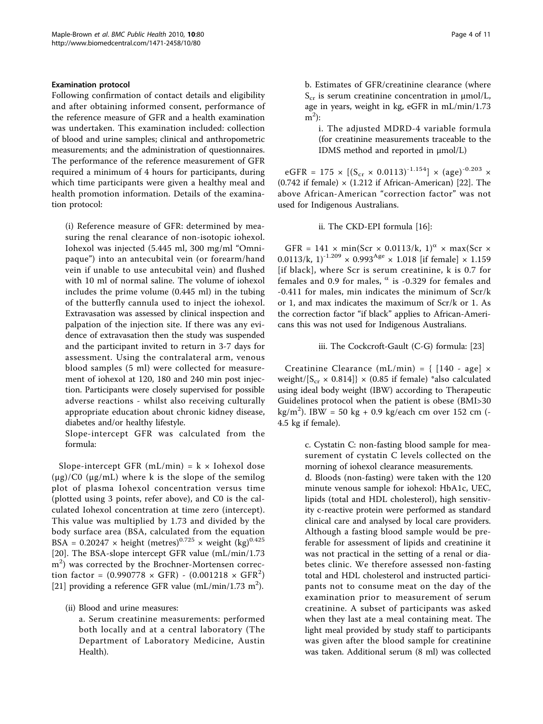#### Examination protocol

Following confirmation of contact details and eligibility and after obtaining informed consent, performance of the reference measure of GFR and a health examination was undertaken. This examination included: collection of blood and urine samples; clinical and anthropometric measurements; and the administration of questionnaires. The performance of the reference measurement of GFR required a minimum of 4 hours for participants, during which time participants were given a healthy meal and health promotion information. Details of the examination protocol:

(i) Reference measure of GFR: determined by measuring the renal clearance of non-isotopic iohexol. Iohexol was injected (5.445 ml, 300 mg/ml "Omnipaque") into an antecubital vein (or forearm/hand vein if unable to use antecubital vein) and flushed with 10 ml of normal saline. The volume of iohexol includes the prime volume (0.445 ml) in the tubing of the butterfly cannula used to inject the iohexol. Extravasation was assessed by clinical inspection and palpation of the injection site. If there was any evidence of extravasation then the study was suspended and the participant invited to return in 3-7 days for assessment. Using the contralateral arm, venous blood samples (5 ml) were collected for measurement of iohexol at 120, 180 and 240 min post injection. Participants were closely supervised for possible adverse reactions - whilst also receiving culturally appropriate education about chronic kidney disease, diabetes and/or healthy lifestyle.

Slope-intercept GFR was calculated from the formula:

Slope-intercept GFR (mL/min) =  $k \times$  Iohexol dose  $(\mu g)/C0$  ( $\mu g/mL$ ) where k is the slope of the semilog plot of plasma Iohexol concentration versus time (plotted using 3 points, refer above), and C0 is the calculated Iohexol concentration at time zero (intercept). This value was multiplied by 1.73 and divided by the body surface area (BSA, calculated from the equation BSA = 0.20247  $\times$  height (metres)<sup>0.725</sup>  $\times$  weight (kg)<sup>0.425</sup> [[20\]](#page-11-0). The BSA-slope intercept GFR value (mL/min/1.73 m<sup>2</sup>) was corrected by the Brochner-Mortensen correction factor = (0.990778  $\times$  GFR) - (0.001218  $\times$  GFR<sup>2</sup>) [[21\]](#page-11-0) providing a reference GFR value  $(mL/min/1.73 m<sup>2</sup>)$ .

(ii) Blood and urine measures:

a. Serum creatinine measurements: performed both locally and at a central laboratory (The Department of Laboratory Medicine, Austin Health).

b. Estimates of GFR/creatinine clearance (where  $S_{cr}$  is serum creatinine concentration in  $\mu$ mol/L, age in years, weight in kg, eGFR in mL/min/1.73  $\overline{m}^2$ ):

i. The adjusted MDRD-4 variable formula (for creatinine measurements traceable to the IDMS method and reported in μmol/L)

eGFR = 175 ×  $[(S_{cr} \times 0.0113)^{-1.154}] \times (age)^{-0.203}$  ×  $(0.742$  if female)  $\times$  (1.212 if African-American) [[22\]](#page-11-0). The above African-American "correction factor" was not used for Indigenous Australians.

ii. The CKD-EPI formula [\[16\]](#page-11-0):

GFR = 141  $\times$  min(Scr  $\times$  0.0113/k, 1)<sup> $\alpha$ </sup>  $\times$  max(Scr  $\times$ 0.0113/k, 1)<sup>-1.209</sup>  $\times$  0.993<sup>Age</sup>  $\times$  1.018 [if female]  $\times$  1.159 [if black], where Scr is serum creatinine, k is 0.7 for females and 0.9 for males,  $\alpha$  is -0.329 for females and -0.411 for males, min indicates the minimum of Scr/k or 1, and max indicates the maximum of Scr/k or 1. As the correction factor "if black" applies to African-Americans this was not used for Indigenous Australians.

iii. The Cockcroft-Gault (C-G) formula: [[23\]](#page-11-0)

Creatinine Clearance  $(mL/min) = \{ [140 - age] \times$ weight/ $[S_{cr} \times 0.814]$  × (0.85 if female) \*also calculated using ideal body weight (IBW) according to Therapeutic Guidelines protocol when the patient is obese (BMI>30  $kg/m<sup>2</sup>$ ). IBW = 50 kg + 0.9 kg/each cm over 152 cm (-4.5 kg if female).

> c. Cystatin C: non-fasting blood sample for measurement of cystatin C levels collected on the morning of iohexol clearance measurements. d. Bloods (non-fasting) were taken with the 120 minute venous sample for iohexol: HbA1c, UEC, lipids (total and HDL cholesterol), high sensitivity c-reactive protein were performed as standard clinical care and analysed by local care providers. Although a fasting blood sample would be preferable for assessment of lipids and creatinine it was not practical in the setting of a renal or diabetes clinic. We therefore assessed non-fasting total and HDL cholesterol and instructed participants not to consume meat on the day of the examination prior to measurement of serum creatinine. A subset of participants was asked when they last ate a meal containing meat. The light meal provided by study staff to participants was given after the blood sample for creatinine was taken. Additional serum (8 ml) was collected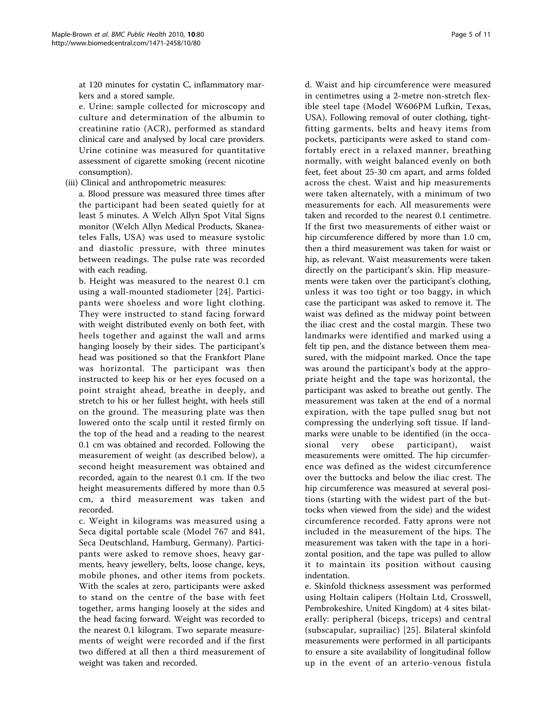at 120 minutes for cystatin C, inflammatory markers and a stored sample.

e. Urine: sample collected for microscopy and culture and determination of the albumin to creatinine ratio (ACR), performed as standard clinical care and analysed by local care providers. Urine cotinine was measured for quantitative assessment of cigarette smoking (recent nicotine consumption).

(iii) Clinical and anthropometric measures:

a. Blood pressure was measured three times after the participant had been seated quietly for at least 5 minutes. A Welch Allyn Spot Vital Signs monitor (Welch Allyn Medical Products, Skaneateles Falls, USA) was used to measure systolic and diastolic pressure, with three minutes between readings. The pulse rate was recorded with each reading.

b. Height was measured to the nearest 0.1 cm using a wall-mounted stadiometer [[24](#page-11-0)]. Participants were shoeless and wore light clothing. They were instructed to stand facing forward with weight distributed evenly on both feet, with heels together and against the wall and arms hanging loosely by their sides. The participant's head was positioned so that the Frankfort Plane was horizontal. The participant was then instructed to keep his or her eyes focused on a point straight ahead, breathe in deeply, and stretch to his or her fullest height, with heels still on the ground. The measuring plate was then lowered onto the scalp until it rested firmly on the top of the head and a reading to the nearest 0.1 cm was obtained and recorded. Following the measurement of weight (as described below), a second height measurement was obtained and recorded, again to the nearest 0.1 cm. If the two height measurements differed by more than 0.5 cm, a third measurement was taken and recorded.

c. Weight in kilograms was measured using a Seca digital portable scale (Model 767 and 841, Seca Deutschland, Hamburg, Germany). Participants were asked to remove shoes, heavy garments, heavy jewellery, belts, loose change, keys, mobile phones, and other items from pockets. With the scales at zero, participants were asked to stand on the centre of the base with feet together, arms hanging loosely at the sides and the head facing forward. Weight was recorded to the nearest 0.1 kilogram. Two separate measurements of weight were recorded and if the first two differed at all then a third measurement of weight was taken and recorded.

d. Waist and hip circumference were measured in centimetres using a 2-metre non-stretch flexible steel tape (Model W606PM Lufkin, Texas, USA). Following removal of outer clothing, tightfitting garments, belts and heavy items from pockets, participants were asked to stand comfortably erect in a relaxed manner, breathing normally, with weight balanced evenly on both feet, feet about 25-30 cm apart, and arms folded across the chest. Waist and hip measurements were taken alternately, with a minimum of two measurements for each. All measurements were taken and recorded to the nearest 0.1 centimetre. If the first two measurements of either waist or hip circumference differed by more than 1.0 cm, then a third measurement was taken for waist or hip, as relevant. Waist measurements were taken directly on the participant's skin. Hip measurements were taken over the participant's clothing, unless it was too tight or too baggy, in which case the participant was asked to remove it. The waist was defined as the midway point between the iliac crest and the costal margin. These two landmarks were identified and marked using a felt tip pen, and the distance between them measured, with the midpoint marked. Once the tape was around the participant's body at the appropriate height and the tape was horizontal, the participant was asked to breathe out gently. The measurement was taken at the end of a normal

expiration, with the tape pulled snug but not compressing the underlying soft tissue. If landmarks were unable to be identified (in the occasional very obese participant), waist measurements were omitted. The hip circumference was defined as the widest circumference over the buttocks and below the iliac crest. The hip circumference was measured at several positions (starting with the widest part of the buttocks when viewed from the side) and the widest circumference recorded. Fatty aprons were not included in the measurement of the hips. The measurement was taken with the tape in a horizontal position, and the tape was pulled to allow it to maintain its position without causing

e. Skinfold thickness assessment was performed using Holtain calipers (Holtain Ltd, Crosswell, Pembrokeshire, United Kingdom) at 4 sites bilaterally: peripheral (biceps, triceps) and central (subscapular, suprailiac) [[25](#page-11-0)]. Bilateral skinfold measurements were performed in all participants to ensure a site availability of longitudinal follow up in the event of an arterio-venous fistula

indentation.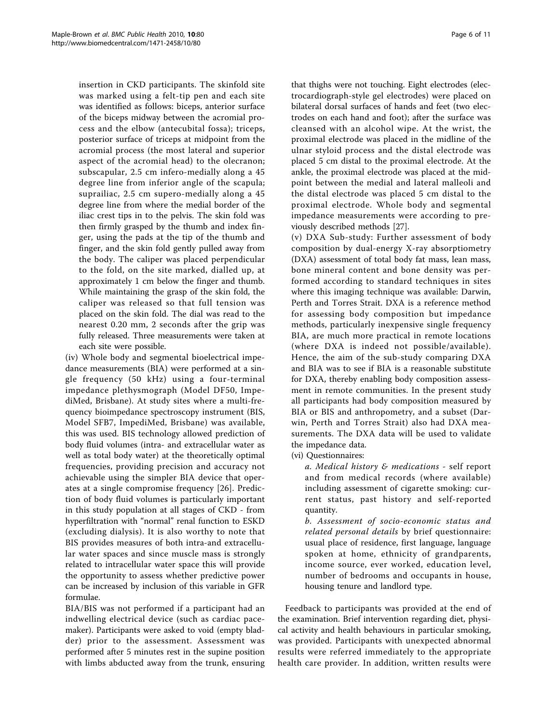insertion in CKD participants. The skinfold site was marked using a felt-tip pen and each site was identified as follows: biceps, anterior surface of the biceps midway between the acromial process and the elbow (antecubital fossa); triceps, posterior surface of triceps at midpoint from the acromial process (the most lateral and superior aspect of the acromial head) to the olecranon; subscapular, 2.5 cm infero-medially along a 45 degree line from inferior angle of the scapula; suprailiac, 2.5 cm supero-medially along a 45 degree line from where the medial border of the iliac crest tips in to the pelvis. The skin fold was then firmly grasped by the thumb and index finger, using the pads at the tip of the thumb and finger, and the skin fold gently pulled away from the body. The caliper was placed perpendicular to the fold, on the site marked, dialled up, at approximately 1 cm below the finger and thumb. While maintaining the grasp of the skin fold, the caliper was released so that full tension was placed on the skin fold. The dial was read to the nearest 0.20 mm, 2 seconds after the grip was fully released. Three measurements were taken at each site were possible.

(iv) Whole body and segmental bioelectrical impedance measurements (BIA) were performed at a single frequency (50 kHz) using a four-terminal impedance plethysmograph (Model DF50, ImpediMed, Brisbane). At study sites where a multi-frequency bioimpedance spectroscopy instrument (BIS, Model SFB7, ImpediMed, Brisbane) was available, this was used. BIS technology allowed prediction of body fluid volumes (intra- and extracellular water as well as total body water) at the theoretically optimal frequencies, providing precision and accuracy not achievable using the simpler BIA device that operates at a single compromise frequency [\[26](#page-11-0)]. Prediction of body fluid volumes is particularly important in this study population at all stages of CKD - from hyperfiltration with "normal" renal function to ESKD (excluding dialysis). It is also worthy to note that BIS provides measures of both intra-and extracellular water spaces and since muscle mass is strongly related to intracellular water space this will provide the opportunity to assess whether predictive power can be increased by inclusion of this variable in GFR formulae.

BIA/BIS was not performed if a participant had an indwelling electrical device (such as cardiac pacemaker). Participants were asked to void (empty bladder) prior to the assessment. Assessment was performed after 5 minutes rest in the supine position with limbs abducted away from the trunk, ensuring that thighs were not touching. Eight electrodes (electrocardiograph-style gel electrodes) were placed on bilateral dorsal surfaces of hands and feet (two electrodes on each hand and foot); after the surface was cleansed with an alcohol wipe. At the wrist, the proximal electrode was placed in the midline of the ulnar styloid process and the distal electrode was placed 5 cm distal to the proximal electrode. At the ankle, the proximal electrode was placed at the midpoint between the medial and lateral malleoli and the distal electrode was placed 5 cm distal to the proximal electrode. Whole body and segmental impedance measurements were according to previously described methods [\[27\]](#page-11-0).

(v) DXA Sub-study: Further assessment of body composition by dual-energy X-ray absorptiometry (DXA) assessment of total body fat mass, lean mass, bone mineral content and bone density was performed according to standard techniques in sites where this imaging technique was available: Darwin, Perth and Torres Strait. DXA is a reference method for assessing body composition but impedance methods, particularly inexpensive single frequency BIA, are much more practical in remote locations (where DXA is indeed not possible/available). Hence, the aim of the sub-study comparing DXA and BIA was to see if BIA is a reasonable substitute for DXA, thereby enabling body composition assessment in remote communities. In the present study all participants had body composition measured by BIA or BIS and anthropometry, and a subset (Darwin, Perth and Torres Strait) also had DXA measurements. The DXA data will be used to validate the impedance data.

(vi) Questionnaires:

a. Medical history & medications - self report and from medical records (where available) including assessment of cigarette smoking: current status, past history and self-reported quantity.

b. Assessment of socio-economic status and related personal details by brief questionnaire: usual place of residence, first language, language spoken at home, ethnicity of grandparents, income source, ever worked, education level, number of bedrooms and occupants in house, housing tenure and landlord type.

Feedback to participants was provided at the end of the examination. Brief intervention regarding diet, physical activity and health behaviours in particular smoking, was provided. Participants with unexpected abnormal results were referred immediately to the appropriate health care provider. In addition, written results were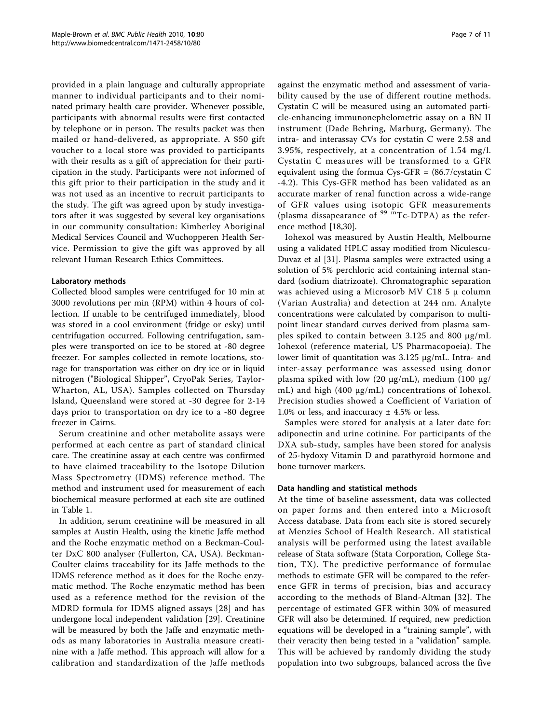provided in a plain language and culturally appropriate manner to individual participants and to their nominated primary health care provider. Whenever possible, participants with abnormal results were first contacted by telephone or in person. The results packet was then mailed or hand-delivered, as appropriate. A \$50 gift voucher to a local store was provided to participants with their results as a gift of appreciation for their participation in the study. Participants were not informed of this gift prior to their participation in the study and it was not used as an incentive to recruit participants to the study. The gift was agreed upon by study investigators after it was suggested by several key organisations in our community consultation: Kimberley Aboriginal Medical Services Council and Wuchopperen Health Service. Permission to give the gift was approved by all relevant Human Research Ethics Committees.

#### Laboratory methods

Collected blood samples were centrifuged for 10 min at 3000 revolutions per min (RPM) within 4 hours of collection. If unable to be centrifuged immediately, blood was stored in a cool environment (fridge or esky) until centrifugation occurred. Following centrifugation, samples were transported on ice to be stored at -80 degree freezer. For samples collected in remote locations, storage for transportation was either on dry ice or in liquid nitrogen ("Biological Shipper", CryoPak Series, Taylor-Wharton, AL, USA). Samples collected on Thursday Island, Queensland were stored at -30 degree for 2-14 days prior to transportation on dry ice to a -80 degree freezer in Cairns.

Serum creatinine and other metabolite assays were performed at each centre as part of standard clinical care. The creatinine assay at each centre was confirmed to have claimed traceability to the Isotope Dilution Mass Spectrometry (IDMS) reference method. The method and instrument used for measurement of each biochemical measure performed at each site are outlined in Table [1.](#page-8-0)

In addition, serum creatinine will be measured in all samples at Austin Health, using the kinetic Jaffe method and the Roche enzymatic method on a Beckman-Coulter DxC 800 analyser (Fullerton, CA, USA). Beckman-Coulter claims traceability for its Jaffe methods to the IDMS reference method as it does for the Roche enzymatic method. The Roche enzymatic method has been used as a reference method for the revision of the MDRD formula for IDMS aligned assays [[28](#page-11-0)] and has undergone local independent validation [[29\]](#page-11-0). Creatinine will be measured by both the Jaffe and enzymatic methods as many laboratories in Australia measure creatinine with a Jaffe method. This approach will allow for a calibration and standardization of the Jaffe methods against the enzymatic method and assessment of variability caused by the use of different routine methods. Cystatin C will be measured using an automated particle-enhancing immunonephelometric assay on a BN II instrument (Dade Behring, Marburg, Germany). The intra- and interassay CVs for cystatin C were 2.58 and 3.95%, respectively, at a concentration of 1.54 mg/l. Cystatin C measures will be transformed to a GFR equivalent using the formua Cys-GFR =  $(86.7/cyst$ atin C -4.2). This Cys-GFR method has been validated as an accurate marker of renal function across a wide-range of GFR values using isotopic GFR measurements (plasma dissapearance of  $99$  <sup>m</sup>Tc-DTPA) as the reference method [\[18,30](#page-11-0)].

Iohexol was measured by Austin Health, Melbourne using a validated HPLC assay modified from Niculescu-Duvaz et al [\[31](#page-11-0)]. Plasma samples were extracted using a solution of 5% perchloric acid containing internal standard (sodium diatrizoate). Chromatographic separation was achieved using a Microsorb MV C18 5 μ column (Varian Australia) and detection at 244 nm. Analyte concentrations were calculated by comparison to multipoint linear standard curves derived from plasma samples spiked to contain between 3.125 and 800 μg/mL Iohexol (reference material, US Pharmacopoeia). The lower limit of quantitation was 3.125 μg/mL. Intra- and inter-assay performance was assessed using donor plasma spiked with low (20 μg/mL), medium (100 μg/ mL) and high (400 μg/mL) concentrations of Iohexol. Precision studies showed a Coefficient of Variation of 1.0% or less, and inaccuracy  $\pm$  4.5% or less.

Samples were stored for analysis at a later date for: adiponectin and urine cotinine. For participants of the DXA sub-study, samples have been stored for analysis of 25-hydoxy Vitamin D and parathyroid hormone and bone turnover markers.

#### Data handling and statistical methods

At the time of baseline assessment, data was collected on paper forms and then entered into a Microsoft Access database. Data from each site is stored securely at Menzies School of Health Research. All statistical analysis will be performed using the latest available release of Stata software (Stata Corporation, College Station, TX). The predictive performance of formulae methods to estimate GFR will be compared to the reference GFR in terms of precision, bias and accuracy according to the methods of Bland-Altman [[32](#page-11-0)]. The percentage of estimated GFR within 30% of measured GFR will also be determined. If required, new prediction equations will be developed in a "training sample", with their veracity then being tested in a "validation" sample. This will be achieved by randomly dividing the study population into two subgroups, balanced across the five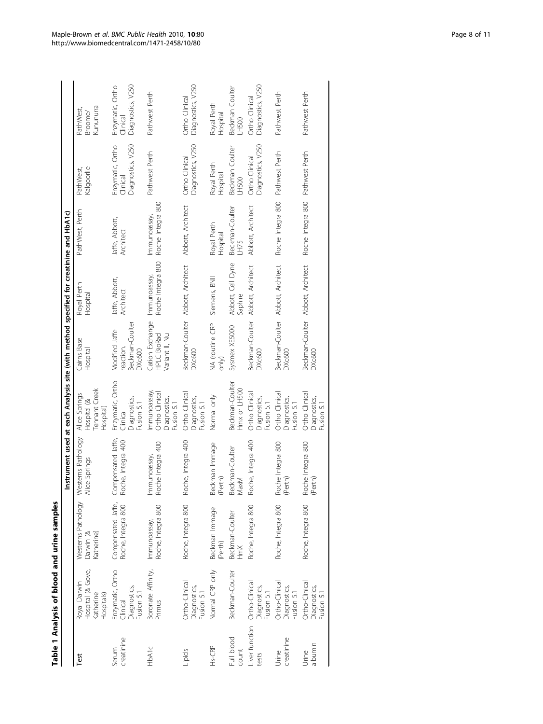<span id="page-8-0"></span>

|                     |                                                              | Table 1 Analysis of blood and urine samples   |                                          |                                                                                        |                                                                 |                                   |                                     |                                                   |                                                   |
|---------------------|--------------------------------------------------------------|-----------------------------------------------|------------------------------------------|----------------------------------------------------------------------------------------|-----------------------------------------------------------------|-----------------------------------|-------------------------------------|---------------------------------------------------|---------------------------------------------------|
|                     |                                                              |                                               |                                          | Instrument used at each Analysis site (with method specified for creatinine and HbA1c) |                                                                 |                                   |                                     |                                                   |                                                   |
| Test                | Hospital (& Gove,<br>Royal Darwin<br>Katherine<br>Hospitals) | Westerns Pathology<br>Darwin (&<br>Katherine) | Westerns Pathology<br>Alice Springs      | Tennant Creek<br>Alice Springs<br>Hospital (&<br>Hospital)                             | Cairns Base<br>Hospital                                         | Royal Perth<br>Hospital           | PathWest, Perth                     | Kalgoorlie<br>PathWest,                           | Kununurra<br>PathWest,<br>Broome/                 |
| creatinine<br>Serum | Enzymatic, Ortho-<br>Diagnostics,<br>Fusion 5.1<br>Clinical  | Compensated Jaffe,<br>Roche, Integra 800      | Compensated Jaffe,<br>Roche, Integra 400 | Enzymatic, Ortho<br>Diagnostics,<br>Fusion 5.1<br>Clinical                             | Beckman-Coulter<br>Modified Jaffe<br>reaction.<br><b>DXc600</b> | Jaffe, Abbott,<br>Architect       | Jaffe, Abbott,<br>Architect         | Diagnostics, V250<br>Enzymatic, Ortho<br>Clinical | Diagnostics, V250<br>Enzymatic, Ortho<br>Clinical |
| HbA1c               | Boronate Affinity,<br>Primus                                 | Roche, Integra 800<br>Immunoassay,            | Roche Integra 400<br>Immunoassay,        | mmunoassay,<br><b>Ortho Clinical</b><br>Diagnostics,<br>Fusion 5.1                     | Cation Exchange<br><b>HPLC BioRad</b><br>Variant II, Nu         | Roche Integra 800<br>Immunoassay, | Roche Integra 800<br>mmunoassay,    | Pathwest Perth                                    | Pathwest Perth                                    |
| Lipids              | Ortho-Clinical<br>Diagnostics,<br>Fusion 5.1                 | Roche, Integra 800                            | Roche, Integra 400                       | Ortho Clinical<br>Diagnostics,<br>$-$ usion 5.1                                        | Beckman-Coulter Abbott, Architect<br><b>DXc600</b>              |                                   | Abbott, Architect                   | Diagnostics, V250<br>Ortho Clinical               | Diagnostics, V250<br>Ortho Clinical               |
| H <sub>S</sub> -CRP | Normal CRP only                                              | Beckman Immage<br>(Perth)                     | Beckman Immage<br>(Perth)                | Normal only                                                                            | NA (routine CRP<br>only)                                        | Siemens, BNII                     | Royal Perth<br>Hospital             | Royal Perth<br>Hospital                           | Royal Perth<br><b>Hospital</b>                    |
| Full blood<br>count | Beckman-Coulter                                              | Beckman-Coulter<br>HmX                        | Beckman-Coulter<br><b>MaxM</b>           | Beckman-Coulter<br>Hmx or LH500                                                        | Sysmex XE5000                                                   | Abbott, Cell Dyne<br>Saphire      | Beckman-Coulter<br>LH <sub>75</sub> | Beckman Coulter<br>LH500                          | Beckman Coulter<br><b>H500</b>                    |
| ests                | Liver function Ortho-Clinical<br>Diagnostics,<br>Fusion 5.1  | Roche, Integra 800                            | Roche, Integra 400                       | Ortho Clinical<br>Diagnostics,<br>-usion 5.1                                           | Beckman-Coulter<br>DXc600                                       | Abbott, Architect                 | Abbott, Architect                   | Diagnostics, V250<br>Ortho Clinical               | Diagnostics, V250<br>Ortho Clinical               |
| creatinine<br>Urine | Ortho-Clinical<br>Diagnostics,<br>Fusion 5.1                 | Roche, Integra 800                            | Roche Integra 800<br>(Perth)             | Ortho Clinical<br>Diagnostics,<br>-usion 5.1                                           | Beckman-Coulter Abbott, Architect<br><b>DXc600</b>              |                                   | Roche Integra 800                   | Pathwest Perth                                    | Pathwest Perth                                    |
| albumin<br>Urine    | Ortho-Clinical<br>Diagnostics,<br>Fusion 5.1                 | Roche, Integra 800                            | Roche Integra 800<br>(Perth)             | Ortho Clinical<br>Diagnostics,<br>Fusion 5.1                                           | Beckman-Coulter Abbott, Architect<br>DXc600                     |                                   | Roche Integra 800 Pathwest Perth    |                                                   | Pathwest Perth                                    |

| ï<br>ı<br>I<br>I                |
|---------------------------------|
| l                               |
| Ï<br>l<br>ı<br>ļ<br>ı<br>l<br>I |
| i<br>i                          |
| i<br>٠<br>Ï<br>١                |
|                                 |
| Í                               |
| ۷<br>ı                          |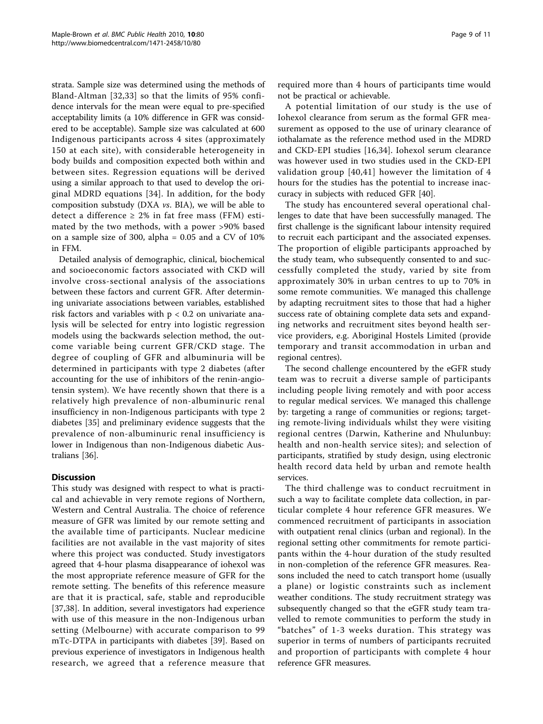strata. Sample size was determined using the methods of Bland-Altman [[32](#page-11-0),[33](#page-11-0)] so that the limits of 95% confidence intervals for the mean were equal to pre-specified acceptability limits (a 10% difference in GFR was considered to be acceptable). Sample size was calculated at 600 Indigenous participants across 4 sites (approximately 150 at each site), with considerable heterogeneity in body builds and composition expected both within and between sites. Regression equations will be derived using a similar approach to that used to develop the original MDRD equations [[34\]](#page-11-0). In addition, for the body composition substudy (DXA vs. BIA), we will be able to detect a difference  $\geq$  2% in fat free mass (FFM) estimated by the two methods, with a power >90% based on a sample size of 300, alpha =  $0.05$  and a CV of 10% in FFM.

Detailed analysis of demographic, clinical, biochemical and socioeconomic factors associated with CKD will involve cross-sectional analysis of the associations between these factors and current GFR. After determining univariate associations between variables, established risk factors and variables with  $p < 0.2$  on univariate analysis will be selected for entry into logistic regression models using the backwards selection method, the outcome variable being current GFR/CKD stage. The degree of coupling of GFR and albuminuria will be determined in participants with type 2 diabetes (after accounting for the use of inhibitors of the renin-angiotensin system). We have recently shown that there is a relatively high prevalence of non-albuminuric renal insufficiency in non-Indigenous participants with type 2 diabetes [\[35](#page-11-0)] and preliminary evidence suggests that the prevalence of non-albuminuric renal insufficiency is lower in Indigenous than non-Indigenous diabetic Australians [[36\]](#page-11-0).

### **Discussion**

This study was designed with respect to what is practical and achievable in very remote regions of Northern, Western and Central Australia. The choice of reference measure of GFR was limited by our remote setting and the available time of participants. Nuclear medicine facilities are not available in the vast majority of sites where this project was conducted. Study investigators agreed that 4-hour plasma disappearance of iohexol was the most appropriate reference measure of GFR for the remote setting. The benefits of this reference measure are that it is practical, safe, stable and reproducible [[37,38\]](#page-11-0). In addition, several investigators had experience with use of this measure in the non-Indigenous urban setting (Melbourne) with accurate comparison to 99 mTc-DTPA in participants with diabetes [[39](#page-11-0)]. Based on previous experience of investigators in Indigenous health research, we agreed that a reference measure that required more than 4 hours of participants time would not be practical or achievable.

A potential limitation of our study is the use of Iohexol clearance from serum as the formal GFR measurement as opposed to the use of urinary clearance of iothalamate as the reference method used in the MDRD and CKD-EPI studies [[16,34](#page-11-0)]. Iohexol serum clearance was however used in two studies used in the CKD-EPI validation group [[40,41\]](#page-11-0) however the limitation of 4 hours for the studies has the potential to increase inaccuracy in subjects with reduced GFR [[40](#page-11-0)].

The study has encountered several operational challenges to date that have been successfully managed. The first challenge is the significant labour intensity required to recruit each participant and the associated expenses. The proportion of eligible participants approached by the study team, who subsequently consented to and successfully completed the study, varied by site from approximately 30% in urban centres to up to 70% in some remote communities. We managed this challenge by adapting recruitment sites to those that had a higher success rate of obtaining complete data sets and expanding networks and recruitment sites beyond health service providers, e.g. Aboriginal Hostels Limited (provide temporary and transit accommodation in urban and regional centres).

The second challenge encountered by the eGFR study team was to recruit a diverse sample of participants including people living remotely and with poor access to regular medical services. We managed this challenge by: targeting a range of communities or regions; targeting remote-living individuals whilst they were visiting regional centres (Darwin, Katherine and Nhulunbuy: health and non-health service sites); and selection of participants, stratified by study design, using electronic health record data held by urban and remote health services.

The third challenge was to conduct recruitment in such a way to facilitate complete data collection, in particular complete 4 hour reference GFR measures. We commenced recruitment of participants in association with outpatient renal clinics (urban and regional). In the regional setting other commitments for remote participants within the 4-hour duration of the study resulted in non-completion of the reference GFR measures. Reasons included the need to catch transport home (usually a plane) or logistic constraints such as inclement weather conditions. The study recruitment strategy was subsequently changed so that the eGFR study team travelled to remote communities to perform the study in "batches" of 1-3 weeks duration. This strategy was superior in terms of numbers of participants recruited and proportion of participants with complete 4 hour reference GFR measures.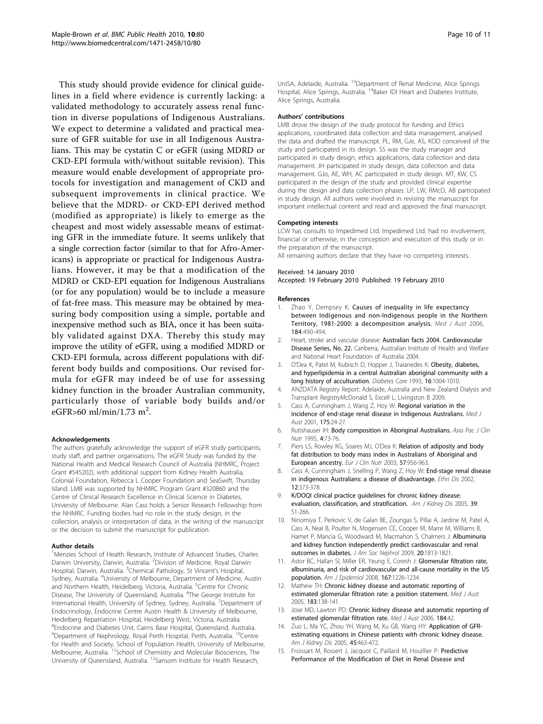<span id="page-10-0"></span>This study should provide evidence for clinical guidelines in a field where evidence is currently lacking: a validated methodology to accurately assess renal function in diverse populations of Indigenous Australians. We expect to determine a validated and practical measure of GFR suitable for use in all Indigenous Australians. This may be cystatin C or eGFR (using MDRD or CKD-EPI formula with/without suitable revision). This measure would enable development of appropriate protocols for investigation and management of CKD and subsequent improvements in clinical practice. We believe that the MDRD- or CKD-EPI derived method (modified as appropriate) is likely to emerge as the cheapest and most widely assessable means of estimating GFR in the immediate future. It seems unlikely that a single correction factor (similar to that for Afro-Americans) is appropriate or practical for Indigenous Australians. However, it may be that a modification of the MDRD or CKD-EPI equation for Indigenous Australians (or for any population) would be to include a measure of fat-free mass. This measure may be obtained by measuring body composition using a simple, portable and inexpensive method such as BIA, once it has been suitably validated against DXA. Thereby this study may improve the utility of eGFR, using a modified MDRD or CKD-EPI formula, across different populations with different body builds and compositions. Our revised formula for eGFR may indeed be of use for assessing kidney function in the broader Australian community, particularly those of variable body builds and/or eGFR>60 ml/min/1.73 m<sup>2</sup>.

#### Acknowledgements

The authors gratefully acknowledge the support of eGFR study participants, study staff, and partner organisations. The eGFR Study was funded by the National Health and Medical Research Council of Australia (NHMRC, Project Grant #545202), with additional support from Kidney Health Australia, Colonial Foundation, Rebecca L Cooper Foundation and SeaSwift, Thursday Island. LMB was supported by NHMRC Program Grant #320860 and the Centre of Clinical Research Excellence in Clinical Science in Diabetes, University of Melbourne. Alan Cass holds a Senior Research Fellowship from the NHMRC. Funding bodies had no role in the study design, in the collection, analysis or interpretation of data, in the writing of the manuscript or the decision to submit the manuscript for publication.

#### Author details

<sup>1</sup>Menzies School of Health Research, Institute of Advanced Studies, Charles Darwin University, Darwin, Australia. <sup>2</sup>Division of Medicine, Royal Darwin Hospital, Darwin, Australia. <sup>3</sup>Chemical Pathology, St Vincent's Hospital, Sydney, Australia. <sup>4</sup>University of Melbourne, Department of Medicine, Austin and Northern Health, Heidelberg, Victoria, Australia. <sup>5</sup>Centre for Chronic Disease, The University of Queensland, Australia. <sup>6</sup>The George Institute for International Health, University of Sydney, Sydney, Australia. <sup>7</sup> Department of Endocrinology, Endocrine Centre Austin Health & University of Melbourne, Heidelberg Repatriation Hospital, Heidelberg West, Victoria, Australia. 8 Endocrine and Diabetes Unit, Cairns Base Hospital, Queensland, Australia. <sup>9</sup>Department of Nephrology, Royal Perth Hospital, Perth, Australia. <sup>10</sup>Centre for Health and Society, School of Population Health, University of Melbourne,<br>Melbourne, Australia. <sup>11</sup>School of Chemistry and Molecular Biosciences, The University of Queensland, Australia. <sup>12</sup>Sansom Institute for Health Research,

UniSA, Adelaide, Australia. <sup>13</sup>Department of Renal Medicine, Alice Springs Hospital, Alice Springs, Australia. <sup>14</sup>Baker IDI Heart and Diabetes Institute, Alice Springs, Australia.

#### Authors' contributions

LMB drove the design of the study protocol for funding and Ethics applications, coordinated data collection and data management, analysed the data and drafted the manuscript. PL, RM, GJe, AS, KOD conceived of the study and participated in its design. SS was the study manager and participated in study design, ethics applications, data collection and data management. JH participated in study design, data collection and data management. GJo, AE, WH, AC participated in study design. MT, KW, CS participated in the design of the study and provided clinical expertise during the design and data collection phases. LP, LW, RMcD, AB participated in study design. All authors were involved in revising the manuscript for important intellectual content and read and approved the final manuscript.

#### Competing interests

Received: 14 January 2010

LCW has consults to Impedimed Ltd. Impedimed Ltd. had no involvement, financial or otherwise, in the conception and execution of this study or in the preparation of the manuscript.

All remaining authors declare that they have no competing interests.

Accepted: 19 February 2010 Published: 19 February 2010

# References

- Zhao Y, Dempsey K: [Causes of inequality in life expectancy](http://www.ncbi.nlm.nih.gov/pubmed/16719745?dopt=Abstract) [between Indigenous and non-Indigenous people in the Northern](http://www.ncbi.nlm.nih.gov/pubmed/16719745?dopt=Abstract) [Territory, 1981-2000: a decomposition analysis.](http://www.ncbi.nlm.nih.gov/pubmed/16719745?dopt=Abstract) Med J Aust 2006, 184:490-494.
- 2. Heart, stroke and vascular disease: Australian facts 2004. Cardiovascular Disease Series, No. 22. Canberra, Australian Institute of Health and Welfare and National Heart Foundation of Australia 2004.
- 3. O'Dea K, Patel M, Kubisch D, Hopper J, Traianedes K: [Obesity, diabetes,](http://www.ncbi.nlm.nih.gov/pubmed/8359092?dopt=Abstract) [and hyperlipidemia in a central Australian aboriginal community with a](http://www.ncbi.nlm.nih.gov/pubmed/8359092?dopt=Abstract) [long history of acculturation.](http://www.ncbi.nlm.nih.gov/pubmed/8359092?dopt=Abstract) Diabetes Care 1993, 16:1004-1010.
- 4. ANZDATA Registry Report: Adelaide, Australia and New Zealand Dialysis and Transplant RegistryMcDonald S, Excell L, Livingston B 2009.
- 5. Cass A, Cunningham J, Wang Z, Hoy W: [Regional variation in the](http://www.ncbi.nlm.nih.gov/pubmed/11476198?dopt=Abstract) [incidence of end-stage renal disease in Indigenous Australians.](http://www.ncbi.nlm.nih.gov/pubmed/11476198?dopt=Abstract) Med J Aust 2001, 175:24-27.
- 6. Rutishauser IH: Body composition in Aboriginal Australians. Asia Pac J Clin Nutr 1995, 4:73-76.
- 7. Piers LS, Rowley KG, Soares MJ, O'Dea K: [Relation of adiposity and body](http://www.ncbi.nlm.nih.gov/pubmed/12879090?dopt=Abstract) [fat distribution to body mass index in Australians of Aboriginal and](http://www.ncbi.nlm.nih.gov/pubmed/12879090?dopt=Abstract) [European ancestry.](http://www.ncbi.nlm.nih.gov/pubmed/12879090?dopt=Abstract) Eur J Clin Nutr 2003, 57:956-963.
- 8. Cass A, Cunningham J, Snelling P, Wang Z, Hoy W: [End-stage renal disease](http://www.ncbi.nlm.nih.gov/pubmed/12148708?dopt=Abstract) [in indigenous Australians: a disease of disadvantage.](http://www.ncbi.nlm.nih.gov/pubmed/12148708?dopt=Abstract) Ethn Dis 2002, 12:373-378.
- 9. K/DOQI clinical practice guidelines for chronic kidney disease: evaluation, classification, and stratification. Am J Kidney Dis 2005, 39: S1-266.
- 10. Ninomiya T, Perkovic V, de Galan BE, Zoungas S, Pillai A, Jardine M, Patel A, Cass A, Neal B, Poulter N, Mogensen CE, Cooper M, Marre M, Williams B, Hamet P, Mancia G, Woodward M, Macmahon S, Chalmers J: [Albuminuria](http://www.ncbi.nlm.nih.gov/pubmed/19443635?dopt=Abstract) [and kidney function independently predict cardiovascular and renal](http://www.ncbi.nlm.nih.gov/pubmed/19443635?dopt=Abstract) [outcomes in diabetes.](http://www.ncbi.nlm.nih.gov/pubmed/19443635?dopt=Abstract) J Am Soc Nephrol 2009, 20:1813-1821.
- 11. Astor BC, Hallan SI, Miller ER, Yeung E, Coresh J: [Glomerular filtration rate,](http://www.ncbi.nlm.nih.gov/pubmed/18385206?dopt=Abstract) [albuminuria, and risk of cardiovascular and all-cause mortality in the US](http://www.ncbi.nlm.nih.gov/pubmed/18385206?dopt=Abstract) [population.](http://www.ncbi.nlm.nih.gov/pubmed/18385206?dopt=Abstract) Am J Epidemiol 2008, 167:1226-1234.
- 12. Mathew TH: [Chronic kidney disease and automatic reporting of](http://www.ncbi.nlm.nih.gov/pubmed/16053416?dopt=Abstract) [estimated glomerular filtration rate: a position statement.](http://www.ncbi.nlm.nih.gov/pubmed/16053416?dopt=Abstract) Med J Aust 2005, 183:138-141.
- 13. Jose MD, Lawton PD: [Chronic kidney disease and automatic reporting of](http://www.ncbi.nlm.nih.gov/pubmed/16398634?dopt=Abstract) [estimated glomerular filtration rate.](http://www.ncbi.nlm.nih.gov/pubmed/16398634?dopt=Abstract) Med J Aust 2006, 184:42.
- 14. Zuo L, Ma YC, Zhou YH, Wang M, Xu GB, Wang HY: [Application of GFR](http://www.ncbi.nlm.nih.gov/pubmed/15754268?dopt=Abstract)[estimating equations in Chinese patients with chronic kidney disease.](http://www.ncbi.nlm.nih.gov/pubmed/15754268?dopt=Abstract) Am J Kidney Dis 2005, 45:463-472.
- Froissart M, Rossert J, Jacquot C, Paillard M, Houillier P: [Predictive](http://www.ncbi.nlm.nih.gov/pubmed/15659562?dopt=Abstract) [Performance of the Modification of Diet in Renal Disease and](http://www.ncbi.nlm.nih.gov/pubmed/15659562?dopt=Abstract)